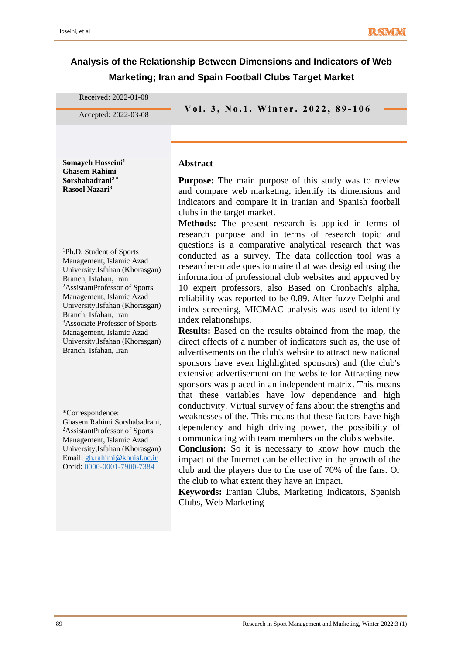# **Analysis of the Relationship Between Dimensions and Indicators of Web Marketing; Iran and Spain Football Clubs Target Market**

Received: 2022-01-08

**V o l . 3 , N o . <sup>1</sup> . W i n t e r . 2 0 2 <sup>2</sup> , 8 9 - <sup>106</sup>** Accepted: 2022-03-08

**Somayeh Hosseini<sup>1</sup> Ghasem Rahimi Sorshabadrani<sup>2</sup> \* Rasool Nazari<sup>3</sup>**

#### **Abstract**

**Purpose:** The main purpose of this study was to review and compare web marketing, identify its dimensions and indicators and compare it in Iranian and Spanish football clubs in the target market.

**Methods:** The present research is applied in terms of

research purpose and in terms of research topic and questions is a comparative analytical research that was conducted as a survey. The data collection tool was a researcher-made questionnaire that was designed using the information of professional club websites and approved by 10 expert professors, also Based on Cronbach's alpha, reliability was reported to be 0.89. After fuzzy Delphi and index screening, MICMAC analysis was used to identify index relationships.

**Results:** Based on the results obtained from the map, the direct effects of a number of indicators such as, the use of advertisements on the club's website to attract new national sponsors have even highlighted sponsors) and (the club's extensive advertisement on the website for Attracting new sponsors was placed in an independent matrix. This means that these variables have low dependence and high conductivity. Virtual survey of fans about the strengths and weaknesses of the. This means that these factors have high dependency and high driving power, the possibility of communicating with team members on the club's website.

**Conclusion:** So it is necessary to know how much the impact of the Internet can be effective in the growth of the club and the players due to the use of 70% of the fans. Or the club to what extent they have an impact.

**Keywords:** Iranian Clubs, Marketing Indicators, Spanish Clubs, Web Marketing

<sup>1</sup>Ph.D. Student of Sports Management, Islamic Azad University,Isfahan (Khorasgan) Branch, Isfahan, Iran <sup>2</sup>AssistantProfessor of Sports Management, Islamic Azad University,Isfahan (Khorasgan) Branch, Isfahan, Iran <sup>3</sup>Associate Professor of Sports Management, Islamic Azad University,Isfahan (Khorasgan) Branch, Isfahan, Iran

\*Correspondence: Ghasem Rahimi Sorshabadrani, <sup>2</sup>AssistantProfessor of Sports Management, Islamic Azad University,Isfahan (Khorasgan) Email[: gh.rahimi@khuisf.ac.ir](mailto:gh.rahimi@khuisf.ac.ir)  Orcid: 0000-0001-7900-7384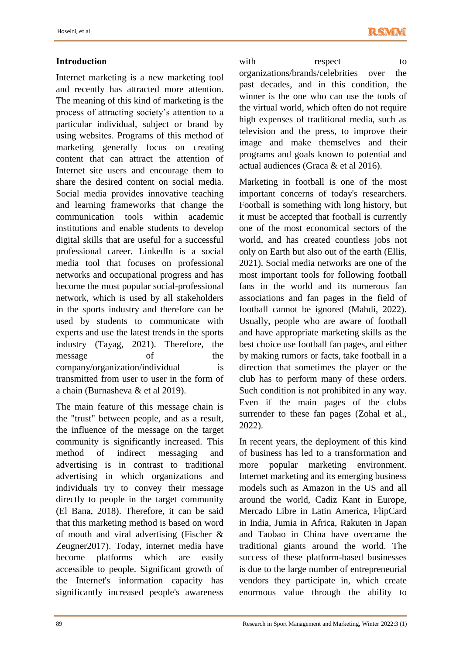### **Introduction**

Internet marketing is a new marketing tool and recently has attracted more attention. The meaning of this kind of marketing is the process of attracting society's attention to a particular individual, subject or brand by using websites. Programs of this method of marketing generally focus on creating content that can attract the attention of Internet site users and encourage them to share the desired content on social media. Social media provides innovative teaching and learning frameworks that change the communication tools within academic institutions and enable students to develop digital skills that are useful for a successful professional career. LinkedIn is a social media tool that focuses on professional networks and occupational progress and has become the most popular social-professional network, which is used by all stakeholders in the sports industry and therefore can be used by students to communicate with experts and use the latest trends in the sports industry (Tayag, 2021). Therefore, the message of the company/organization/individual is transmitted from user to user in the form of a chain (Burnasheva & et al 2019).

The main feature of this message chain is the "trust" between people, and as a result, the influence of the message on the target community is significantly increased. This method of indirect messaging and advertising is in contrast to traditional advertising in which organizations and individuals try to convey their message directly to people in the target community (El Bana, 2018). Therefore, it can be said that this marketing method is based on word of mouth and viral advertising (Fischer & Zeugner2017). Today, internet media have become platforms which are easily accessible to people. Significant growth of the Internet's information capacity has significantly increased people's awareness

with respect to organizations/brands/celebrities over the past decades, and in this condition, the winner is the one who can use the tools of the virtual world, which often do not require high expenses of traditional media, such as television and the press, to improve their image and make themselves and their programs and goals known to potential and actual audiences (Graca & et al 2016).

Marketing in football is one of the most important concerns of today's researchers. Football is something with long history, but it must be accepted that football is currently one of the most economical sectors of the world, and has created countless jobs not only on Earth but also out of the earth (Ellis, 2021). Social media networks are one of the most important tools for following football fans in the world and its numerous fan associations and fan pages in the field of football cannot be ignored (Mahdi, 2022). Usually, people who are aware of football and have appropriate marketing skills as the best choice use football fan pages, and either by making rumors or facts, take football in a direction that sometimes the player or the club has to perform many of these orders. Such condition is not prohibited in any way. Even if the main pages of the clubs surrender to these fan pages (Zohal et al., 2022).

In recent years, the deployment of this kind of business has led to a transformation and more popular marketing environment. Internet marketing and its emerging business models such as Amazon in the US and all around the world, Cadiz Kant in Europe, Mercado Libre in Latin America, FlipCard in India, Jumia in Africa, Rakuten in Japan and Taobao in China have overcame the traditional giants around the world. The success of these platform-based businesses is due to the large number of entrepreneurial vendors they participate in, which create enormous value through the ability to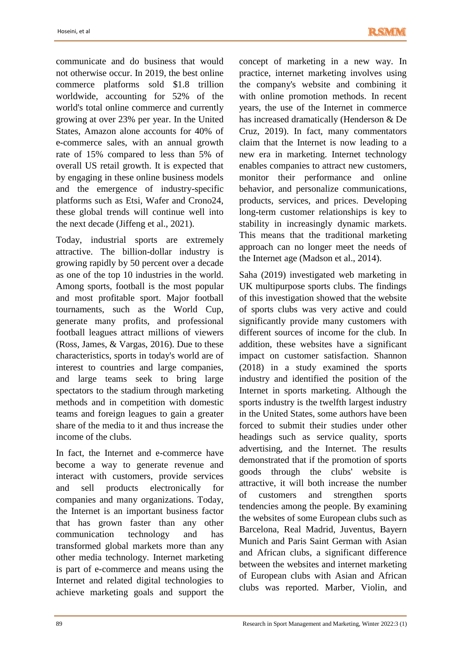communicate and do business that would not otherwise occur. In 2019, the best online commerce platforms sold \$1.8 trillion worldwide, accounting for 52% of the world's total online commerce and currently growing at over 23% per year. In the United States, Amazon alone accounts for 40% of e-commerce sales, with an annual growth rate of 15% compared to less than 5% of overall US retail growth. It is expected that by engaging in these online business models and the emergence of industry-specific platforms such as Etsi, Wafer and Crono24, these global trends will continue well into the next decade (Jiffeng et al., 2021).

Today, industrial sports are extremely attractive. The billion-dollar industry is growing rapidly by 50 percent over a decade as one of the top 10 industries in the world. Among sports, football is the most popular and most profitable sport. Major football tournaments, such as the World Cup, generate many profits, and professional football leagues attract millions of viewers (Ross, James, & Vargas, 2016). Due to these characteristics, sports in today's world are of interest to countries and large companies, and large teams seek to bring large spectators to the stadium through marketing methods and in competition with domestic teams and foreign leagues to gain a greater share of the media to it and thus increase the income of the clubs.

In fact, the Internet and e-commerce have become a way to generate revenue and interact with customers, provide services and sell products electronically for companies and many organizations. Today, the Internet is an important business factor that has grown faster than any other communication technology and has transformed global markets more than any other media technology. Internet marketing is part of e-commerce and means using the Internet and related digital technologies to achieve marketing goals and support the

concept of marketing in a new way. In practice, internet marketing involves using the company's website and combining it with online promotion methods. In recent years, the use of the Internet in commerce has increased dramatically (Henderson & De Cruz, 2019). In fact, many commentators claim that the Internet is now leading to a new era in marketing. Internet technology enables companies to attract new customers, monitor their performance and online behavior, and personalize communications, products, services, and prices. Developing long-term customer relationships is key to stability in increasingly dynamic markets. This means that the traditional marketing approach can no longer meet the needs of the Internet age (Madson et al., 2014).

Saha (2019) investigated web marketing in UK multipurpose sports clubs. The findings of this investigation showed that the website of sports clubs was very active and could significantly provide many customers with different sources of income for the club. In addition, these websites have a significant impact on customer satisfaction. Shannon (2018) in a study examined the sports industry and identified the position of the Internet in sports marketing. Although the sports industry is the twelfth largest industry in the United States, some authors have been forced to submit their studies under other headings such as service quality, sports advertising, and the Internet. The results demonstrated that if the promotion of sports goods through the clubs' website is attractive, it will both increase the number of customers and strengthen sports tendencies among the people. By examining the websites of some European clubs such as Barcelona, Real Madrid, Juventus, Bayern Munich and Paris Saint German with Asian and African clubs, a significant difference between the websites and internet marketing of European clubs with Asian and African clubs was reported. Marber, Violin, and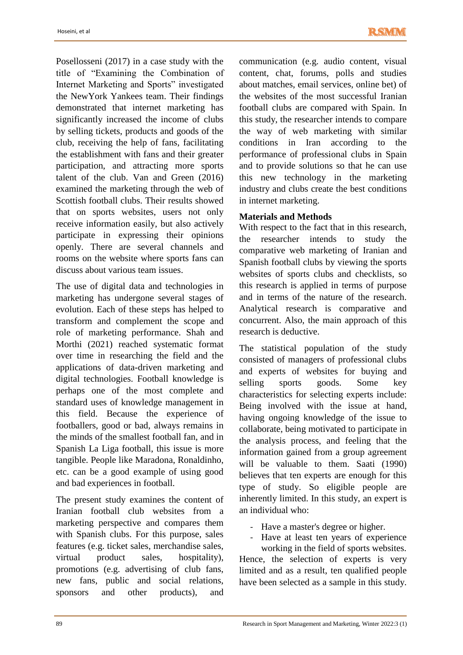Posellosseni (2017) in a case study with the title of "Examining the Combination of Internet Marketing and Sports" investigated the NewYork Yankees team. Their findings demonstrated that internet marketing has significantly increased the income of clubs by selling tickets, products and goods of the club, receiving the help of fans, facilitating the establishment with fans and their greater participation, and attracting more sports talent of the club. Van and Green (2016) examined the marketing through the web of Scottish football clubs. Their results showed that on sports websites, users not only receive information easily, but also actively participate in expressing their opinions openly. There are several channels and rooms on the website where sports fans can discuss about various team issues.

The use of digital data and technologies in marketing has undergone several stages of evolution. Each of these steps has helped to transform and complement the scope and role of marketing performance. Shah and Morthi (2021) reached systematic format over time in researching the field and the applications of data-driven marketing and digital technologies. Football knowledge is perhaps one of the most complete and standard uses of knowledge management in this field. Because the experience of footballers, good or bad, always remains in the minds of the smallest football fan, and in Spanish La Liga football, this issue is more tangible. People like Maradona, Ronaldinho, etc. can be a good example of using good and bad experiences in football.

The present study examines the content of Iranian football club websites from a marketing perspective and compares them with Spanish clubs. For this purpose, sales features (e.g. ticket sales, merchandise sales, virtual product sales, hospitality), promotions (e.g. advertising of club fans, new fans, public and social relations, sponsors and other products), and

communication (e.g. audio content, visual content, chat, forums, polls and studies about matches, email services, online bet) of the websites of the most successful Iranian football clubs are compared with Spain. In this study, the researcher intends to compare the way of web marketing with similar conditions in Iran according to the performance of professional clubs in Spain and to provide solutions so that he can use this new technology in the marketing industry and clubs create the best conditions in internet marketing.

### **Materials and Methods**

With respect to the fact that in this research, the researcher intends to study the comparative web marketing of Iranian and Spanish football clubs by viewing the sports websites of sports clubs and checklists, so this research is applied in terms of purpose and in terms of the nature of the research. Analytical research is comparative and concurrent. Also, the main approach of this research is deductive.

The statistical population of the study consisted of managers of professional clubs and experts of websites for buying and selling sports goods. Some key characteristics for selecting experts include: Being involved with the issue at hand, having ongoing knowledge of the issue to collaborate, being motivated to participate in the analysis process, and feeling that the information gained from a group agreement will be valuable to them. Saati (1990) believes that ten experts are enough for this type of study. So eligible people are inherently limited. In this study, an expert is an individual who:

- Have a master's degree or higher.
- Have at least ten years of experience

working in the field of sports websites. Hence, the selection of experts is very limited and as a result, ten qualified people have been selected as a sample in this study.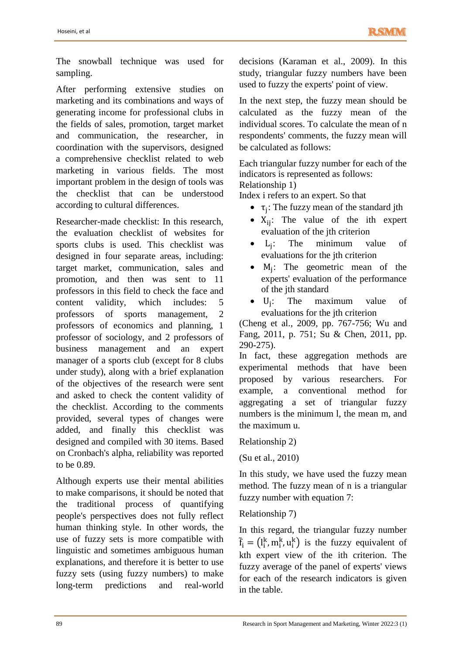The snowball technique was used for sampling.

After performing extensive studies on marketing and its combinations and ways of generating income for professional clubs in the fields of sales, promotion, target market and communication, the researcher, in coordination with the supervisors, designed a comprehensive checklist related to web marketing in various fields. The most important problem in the design of tools was the checklist that can be understood according to cultural differences.

Researcher-made checklist: In this research, the evaluation checklist of websites for sports clubs is used. This checklist was designed in four separate areas, including: target market, communication, sales and promotion, and then was sent to 11 professors in this field to check the face and content validity, which includes: 5 professors of sports management, 2 professors of economics and planning, 1 professor of sociology, and 2 professors of business management and an expert manager of a sports club (except for 8 clubs under study), along with a brief explanation of the objectives of the research were sent and asked to check the content validity of the checklist. According to the comments provided, several types of changes were added, and finally this checklist was designed and compiled with 30 items. Based on Cronbach's alpha, reliability was reported to be 0.89.

Although experts use their mental abilities to make comparisons, it should be noted that the traditional process of quantifying people's perspectives does not fully reflect human thinking style. In other words, the use of fuzzy sets is more compatible with linguistic and sometimes ambiguous human explanations, and therefore it is better to use fuzzy sets (using fuzzy numbers) to make long-term predictions and real-world decisions (Karaman et al., 2009). In this study, triangular fuzzy numbers have been used to fuzzy the experts' point of view.

In the next step, the fuzzy mean should be calculated as the fuzzy mean of the individual scores. To calculate the mean of n respondents' comments, the fuzzy mean will be calculated as follows:

Each triangular fuzzy number for each of the indicators is represented as follows: Relationship 1)

Index i refers to an expert. So that

- $\tau_j$ : The fuzzy mean of the standard jth
- $X_{ii}$ : The value of the ith expert evaluation of the jth criterion
- $\bullet$   $L_i$ : The minimum value of evaluations for the jth criterion
- $\bullet$  M<sub>j</sub>: The geometric mean of the experts' evaluation of the performance of the jth standard
- $\bullet$  U<sub>i</sub>: : The maximum value of evaluations for the jth criterion

(Cheng et al., 2009, pp. 767-756; Wu and Fang, 2011, p. 751; Su & Chen, 2011, pp. 290-275).

In fact, these aggregation methods are experimental methods that have been proposed by various researchers. For example, a conventional method for aggregating a set of triangular fuzzy numbers is the minimum l, the mean m, and the maximum u.

Relationship 2)

(Su et al., 2010)

In this study, we have used the fuzzy mean method. The fuzzy mean of n is a triangular fuzzy number with equation 7:

### Relationship 7)

In this regard, the triangular fuzzy number  $\tilde{f}_i = (l_i^k, m_i^k, u_i^k)$  is the fuzzy equivalent of kth expert view of the ith criterion. The fuzzy average of the panel of experts' views for each of the research indicators is given in the table.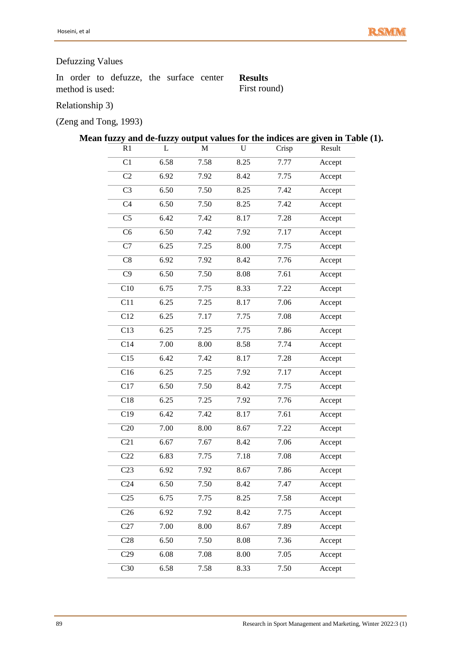# Defuzzing Values

In order to defuzze, the surface center method is used:

**Results**  First round)

Relationship 3)

(Zeng and Tong, 1993)

# **Mean fuzzy and de-fuzzy output values for the indices are given in Table (1).**

| R1               | L    | M    | ${\bf U}$ | Crisp | Result |
|------------------|------|------|-----------|-------|--------|
| C <sub>1</sub>   | 6.58 | 7.58 | 8.25      | 7.77  | Accept |
| C <sub>2</sub>   | 6.92 | 7.92 | 8.42      | 7.75  | Accept |
| C <sub>3</sub>   | 6.50 | 7.50 | 8.25      | 7.42  | Accept |
| C <sub>4</sub>   | 6.50 | 7.50 | 8.25      | 7.42  | Accept |
| C <sub>5</sub>   | 6.42 | 7.42 | 8.17      | 7.28  | Accept |
| C <sub>6</sub>   | 6.50 | 7.42 | 7.92      | 7.17  | Accept |
| C7               | 6.25 | 7.25 | 8.00      | 7.75  | Accept |
| C8               | 6.92 | 7.92 | 8.42      | 7.76  | Accept |
| C9               | 6.50 | 7.50 | 8.08      | 7.61  | Accept |
| C10              | 6.75 | 7.75 | 8.33      | 7.22  | Accept |
| C11              | 6.25 | 7.25 | 8.17      | 7.06  | Accept |
| C12              | 6.25 | 7.17 | 7.75      | 7.08  | Accept |
| C13              | 6.25 | 7.25 | 7.75      | 7.86  | Accept |
| C14              | 7.00 | 8.00 | 8.58      | 7.74  | Accept |
| $\overline{C15}$ | 6.42 | 7.42 | 8.17      | 7.28  | Accept |
| $\overline{C16}$ | 6.25 | 7.25 | 7.92      | 7.17  | Accept |
| $\overline{C17}$ | 6.50 | 7.50 | 8.42      | 7.75  | Accept |
| C18              | 6.25 | 7.25 | 7.92      | 7.76  | Accept |
| $\overline{C19}$ | 6.42 | 7.42 | 8.17      | 7.61  | Accept |
| C20              | 7.00 | 8.00 | 8.67      | 7.22  | Accept |
| $\overline{C21}$ | 6.67 | 7.67 | 8.42      | 7.06  | Accept |
| C22              | 6.83 | 7.75 | 7.18      | 7.08  | Accept |
| $\overline{C23}$ | 6.92 | 7.92 | 8.67      | 7.86  | Accept |
| C <sub>24</sub>  | 6.50 | 7.50 | 8.42      | 7.47  | Accept |
| C <sub>25</sub>  | 6.75 | 7.75 | 8.25      | 7.58  | Accept |
| C <sub>26</sub>  | 6.92 | 7.92 | 8.42      | 7.75  | Accept |
| C27              | 7.00 | 8.00 | 8.67      | 7.89  | Accept |
| C28              | 6.50 | 7.50 | 8.08      | 7.36  | Accept |
| C29              | 6.08 | 7.08 | 8.00      | 7.05  | Accept |
| C30              | 6.58 | 7.58 | 8.33      | 7.50  | Accept |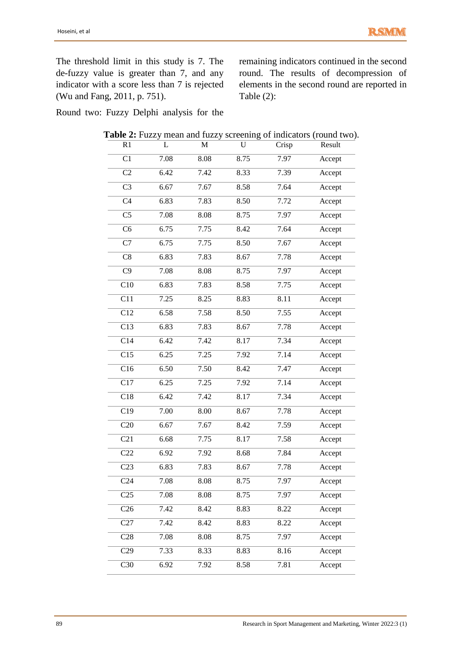The threshold limit in this study is 7. The de-fuzzy value is greater than 7, and any indicator with a score less than 7 is rejected (Wu and Fang, 2011, p. 751).

remaining indicators continued in the second round. The results of decompression of elements in the second round are reported in Table (2):

Round two: Fuzzy Delphi analysis for the

| R1               | L    | M    | U    | Crisp | Result |
|------------------|------|------|------|-------|--------|
| C1               | 7.08 | 8.08 | 8.75 | 7.97  | Accept |
| C <sub>2</sub>   | 6.42 | 7.42 | 8.33 | 7.39  | Accept |
| C <sub>3</sub>   | 6.67 | 7.67 | 8.58 | 7.64  | Accept |
| C <sub>4</sub>   | 6.83 | 7.83 | 8.50 | 7.72  | Accept |
| C <sub>5</sub>   | 7.08 | 8.08 | 8.75 | 7.97  | Accept |
| C <sub>6</sub>   | 6.75 | 7.75 | 8.42 | 7.64  | Accept |
| C7               | 6.75 | 7.75 | 8.50 | 7.67  | Accept |
| C8               | 6.83 | 7.83 | 8.67 | 7.78  | Accept |
| C9               | 7.08 | 8.08 | 8.75 | 7.97  | Accept |
| C10              | 6.83 | 7.83 | 8.58 | 7.75  | Accept |
| C11              | 7.25 | 8.25 | 8.83 | 8.11  | Accept |
| C12              | 6.58 | 7.58 | 8.50 | 7.55  | Accept |
| C13              | 6.83 | 7.83 | 8.67 | 7.78  | Accept |
| C14              | 6.42 | 7.42 | 8.17 | 7.34  | Accept |
| C15              | 6.25 | 7.25 | 7.92 | 7.14  | Accept |
| C16              | 6.50 | 7.50 | 8.42 | 7.47  | Accept |
| C17              | 6.25 | 7.25 | 7.92 | 7.14  | Accept |
| C18              | 6.42 | 7.42 | 8.17 | 7.34  | Accept |
| C19              | 7.00 | 8.00 | 8.67 | 7.78  | Accept |
| C20              | 6.67 | 7.67 | 8.42 | 7.59  | Accept |
| C21              | 6.68 | 7.75 | 8.17 | 7.58  | Accept |
| C22              | 6.92 | 7.92 | 8.68 | 7.84  | Accept |
| C <sub>23</sub>  | 6.83 | 7.83 | 8.67 | 7.78  | Accept |
| C <sub>24</sub>  | 7.08 | 8.08 | 8.75 | 7.97  | Accept |
| $\overline{C25}$ | 7.08 | 8.08 | 8.75 | 7.97  | Accept |
| C <sub>26</sub>  | 7.42 | 8.42 | 8.83 | 8.22  | Accept |
| C27              | 7.42 | 8.42 | 8.83 | 8.22  | Accept |
| C28              | 7.08 | 8.08 | 8.75 | 7.97  | Accept |
| C29              | 7.33 | 8.33 | 8.83 | 8.16  | Accept |
| $\overline{C30}$ | 6.92 | 7.92 | 8.58 | 7.81  | Accept |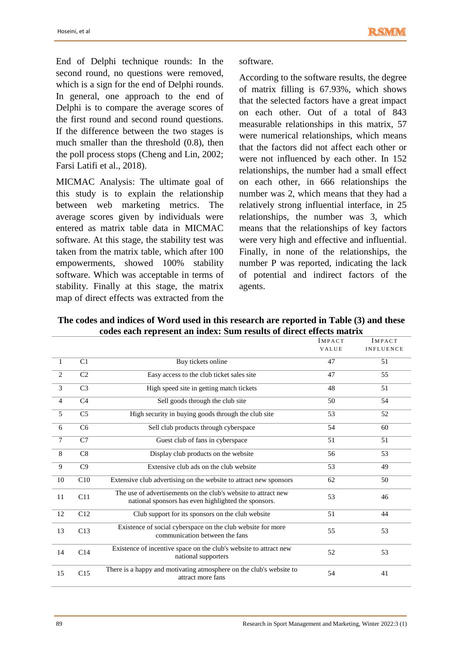End of Delphi technique rounds: In the second round, no questions were removed, which is a sign for the end of Delphi rounds. In general, one approach to the end of Delphi is to compare the average scores of the first round and second round questions. If the difference between the two stages is much smaller than the threshold (0.8), then the poll process stops (Cheng and Lin, 2002; Farsi Latifi et al., 2018).

MICMAC Analysis: The ultimate goal of this study is to explain the relationship between web marketing metrics. The average scores given by individuals were entered as matrix table data in MICMAC software. At this stage, the stability test was taken from the matrix table, which after 100 empowerments, showed 100% stability software. Which was acceptable in terms of stability. Finally at this stage, the matrix map of direct effects was extracted from the

software.

According to the software results, the degree of matrix filling is 67.93%, which shows that the selected factors have a great impact on each other. Out of a total of 843 measurable relationships in this matrix, 57 were numerical relationships, which means that the factors did not affect each other or were not influenced by each other. In 152 relationships, the number had a small effect on each other, in 666 relationships the number was 2, which means that they had a relatively strong influential interface, in 25 relationships, the number was 3, which means that the relationships of key factors were very high and effective and influential. Finally, in none of the relationships, the number P was reported, indicating the lack of potential and indirect factors of the agents.

|                |                 |                                                                                                                        | <b>IMPACT</b>   | <b>IMPACT</b>    |
|----------------|-----------------|------------------------------------------------------------------------------------------------------------------------|-----------------|------------------|
|                |                 |                                                                                                                        | VALUE           | <b>INFLUENCE</b> |
| $\overline{1}$ | C1              | Buy tickets online                                                                                                     | 47              | 51               |
| $\overline{2}$ | C <sub>2</sub>  | Easy access to the club ticket sales site                                                                              | 47              | 55               |
| $\overline{3}$ | C <sub>3</sub>  | High speed site in getting match tickets                                                                               | 48              | 51               |
| $\overline{4}$ | C <sub>4</sub>  | Sell goods through the club site                                                                                       | 50              | 54               |
| $\overline{5}$ | C <sub>5</sub>  | High security in buying goods through the club site                                                                    | 53              | 52               |
| 6              | C <sub>6</sub>  | Sell club products through cyberspace                                                                                  | 54              | 60               |
| $\tau$         | C7              | Guest club of fans in cyberspace                                                                                       | 51              | 51               |
| 8              | C8              | Display club products on the website                                                                                   | 56              | 53               |
| 9              | $\overline{C9}$ | Extensive club ads on the club website                                                                                 | $\overline{53}$ | 49               |
| 10             | C10             | Extensive club advertising on the website to attract new sponsors                                                      | 62              | 50               |
| 11             | C11             | The use of advertisements on the club's website to attract new<br>national sponsors has even highlighted the sponsors. | 53              | 46               |
| 12             | C12             | Club support for its sponsors on the club website                                                                      | 51              | 44               |
| 13             | C13             | Existence of social cyberspace on the club website for more<br>communication between the fans                          | 55              | 53               |
| 14             | C14             | Existence of incentive space on the club's website to attract new<br>national supporters                               | 52              | 53               |
| 15             | C15             | There is a happy and motivating atmosphere on the club's website to<br>attract more fans                               | 54              | 41               |

**The codes and indices of Word used in this research are reported in Table (3) and these codes each represent an index: Sum results of direct effects matrix**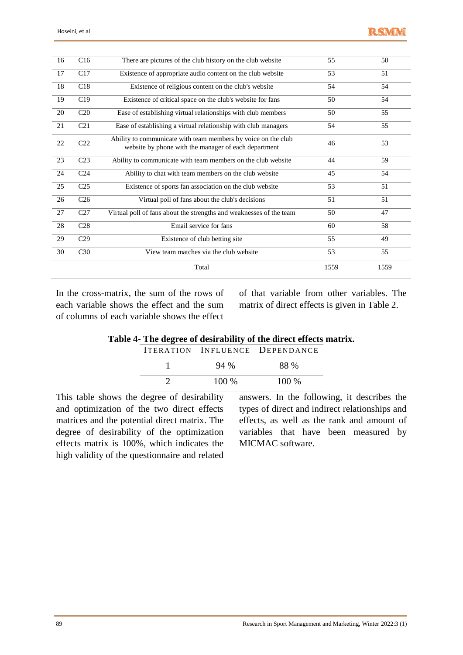| 16 | C16             | There are pictures of the club history on the club website                                                            | 55   | 50   |
|----|-----------------|-----------------------------------------------------------------------------------------------------------------------|------|------|
| 17 | C17             | Existence of appropriate audio content on the club website                                                            | 53   | 51   |
| 18 | C18             | Existence of religious content on the club's website                                                                  | 54   | 54   |
| 19 | C19             | Existence of critical space on the club's website for fans                                                            | 50   | 54   |
| 20 | C20             | Ease of establishing virtual relationships with club members                                                          | 50   | 55   |
| 21 | C <sub>21</sub> | Ease of establishing a virtual relationship with club managers                                                        | 54   | 55   |
| 22 | C22             | Ability to communicate with team members by voice on the club<br>website by phone with the manager of each department | 46   | 53   |
| 23 | C <sub>23</sub> | Ability to communicate with team members on the club website                                                          | 44   | 59   |
| 24 | C <sub>24</sub> | Ability to chat with team members on the club website                                                                 | 45   | 54   |
| 25 | C <sub>25</sub> | Existence of sports fan association on the club website                                                               | 53   | 51   |
| 26 | C <sub>26</sub> | Virtual poll of fans about the club's decisions                                                                       | 51   | 51   |
| 27 | C27             | Virtual poll of fans about the strengths and weaknesses of the team                                                   | 50   | 47   |
| 28 | C <sub>28</sub> | Email service for fans                                                                                                | 60   | 58   |
| 29 | C <sub>29</sub> | Existence of club betting site                                                                                        | 55   | 49   |
| 30 | C30             | View team matches via the club website                                                                                | 53   | 55   |
|    |                 | Total                                                                                                                 | 1559 | 1559 |

In the cross-matrix, the sum of the rows of each variable shows the effect and the sum of columns of each variable shows the effect

of that variable from other variables. The matrix of direct effects is given in Table 2.

|  |  |  |  |  |  | Table 4- The degree of desirability of the direct effects matrix. |
|--|--|--|--|--|--|-------------------------------------------------------------------|
|  |  |  |  |  |  |                                                                   |

|         | <b>ITERATION INFLUENCE DEPENDANCE</b> |
|---------|---------------------------------------|
| 94 %    | 88 %                                  |
| $100\%$ | $100\%$                               |

This table shows the degree of desirability and optimization of the two direct effects matrices and the potential direct matrix. The degree of desirability of the optimization effects matrix is 100%, which indicates the high validity of the questionnaire and related

answers. In the following, it describes the types of direct and indirect relationships and effects, as well as the rank and amount of variables that have been measured by MICMAC software.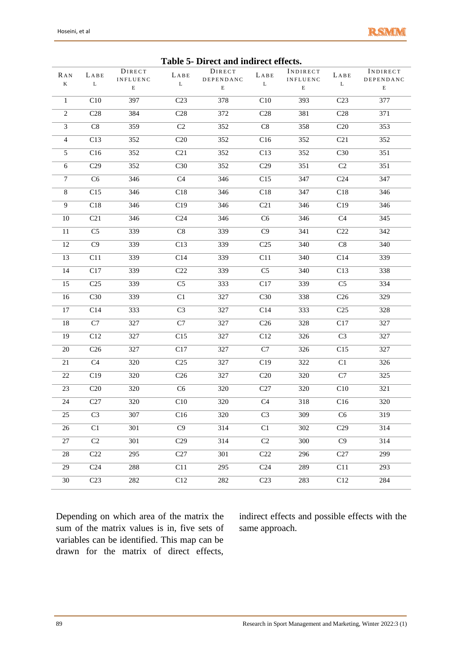

| I able 5- Direct and indirect effects. |                  |                           |                 |                     |                 |                             |                 |                       |  |
|----------------------------------------|------------------|---------------------------|-----------------|---------------------|-----------------|-----------------------------|-----------------|-----------------------|--|
| RAN                                    | LABE             | DIRECT<br><b>INFLUENC</b> | $L\,A\,B\,E$    | DIRECT<br>DEPENDANC | LABE            | INDIRECT<br><b>INFLUENC</b> | LABE            | INDIRECT<br>DEPENDANC |  |
| $\bf K$                                | $\mathbf L$      | $\mathbf E$               | L               | E                   | L               | $\mathbf E$                 | L               | E                     |  |
| $\mathbf{1}$                           | C10              | 397                       | C <sub>23</sub> | 378                 | C10             | 393                         | C <sub>23</sub> | 377                   |  |
| $\overline{2}$                         | C28              | 384                       | C28             | 372                 | C28             | 381                         | C28             | 371                   |  |
| $\overline{3}$                         | C8               | 359                       | C2              | 352                 | $\mbox{C}8$     | 358                         | C20             | 353                   |  |
| $\overline{4}$                         | $\overline{C13}$ | 352                       | C20             | 352                 | C16             | 352                         | C <sub>21</sub> | 352                   |  |
| 5                                      | $\overline{C16}$ | 352                       | C21             | 352                 | C13             | 352                         | C30             | 351                   |  |
| 6                                      | C29              | 352                       | C30             | $\overline{352}$    | C29             | 351                         | C2              | 351                   |  |
| $\boldsymbol{7}$                       | C <sub>6</sub>   | 346                       | C4              | 346                 | C15             | 347                         | C <sub>24</sub> | 347                   |  |
| $\,8\,$                                | C15              | 346                       | C18             | 346                 | C18             | 347                         | C18             | 346                   |  |
| $\overline{9}$                         | C18              | 346                       | C19             | 346                 | C21             | 346                         | C19             | 346                   |  |
| $10\,$                                 | C21              | 346                       | C <sub>24</sub> | 346                 | C6              | 346                         | C <sub>4</sub>  | 345                   |  |
| $11\,$                                 | C <sub>5</sub>   | 339                       | C8              | 339                 | C9              | 341                         | C <sub>22</sub> | 342                   |  |
| 12                                     | C9               | 339                       | C13             | 339                 | C <sub>25</sub> | 340                         | $\mbox{C}8$     | 340                   |  |
| 13                                     | C11              | 339                       | C14             | 339                 | C11             | 340                         | C14             | 339                   |  |
| 14                                     | C17              | 339                       | C22             | 339                 | C <sub>5</sub>  | 340                         | C13             | 338                   |  |
| 15                                     | C <sub>25</sub>  | 339                       | C <sub>5</sub>  | 333                 | C17             | 339                         | C <sub>5</sub>  | 334                   |  |
| 16                                     | C30              | 339                       | C1              | 327                 | C30             | 338                         | C <sub>26</sub> | 329                   |  |
| 17                                     | C14              | 333                       | C <sub>3</sub>  | 327                 | C14             | 333                         | C <sub>25</sub> | 328                   |  |
| $18\,$                                 | C7               | 327                       | C7              | 327                 | C <sub>26</sub> | 328                         | C17             | 327                   |  |
| 19                                     | C12              | 327                       | C15             | 327                 | C12             | 326                         | C <sub>3</sub>  | 327                   |  |
| 20                                     | C <sub>26</sub>  | 327                       | C17             | 327                 | C7              | 326                         | C15             | 327                   |  |
| $21\,$                                 | $\overline{C4}$  | 320                       | C <sub>25</sub> | 327                 | C19             | 322                         | C1              | 326                   |  |
| 22                                     | C19              | 320                       | C <sub>26</sub> | 327                 | C20             | 320                         | C7              | 325                   |  |
| 23                                     | C20              | 320                       | C6              | 320                 | C27             | 320                         | C10             | 321                   |  |
| $\overline{24}$                        | C27              | 320                       | C10             | 320                 | C4              | 318                         | C16             | 320                   |  |
| 25                                     | C <sub>3</sub>   | 307                       | C16             | 320                 | C <sub>3</sub>  | 309                         | C <sub>6</sub>  | 319                   |  |
| $26\,$                                 | C1               | 301                       | $\overline{C9}$ | 314                 | C1              | 302                         | C29             | 314                   |  |
| 27                                     | C2               | 301                       | C29             | 314                 | C2              | 300                         | C9              | 314                   |  |
| 28                                     | C <sub>22</sub>  | 295                       | C27             | 301                 | C22             | 296                         | C27             | 299                   |  |
| 29                                     | C <sub>24</sub>  | 288                       | C11             | 295                 | C <sub>24</sub> | 289                         | C11             | 293                   |  |
| 30                                     | C <sub>23</sub>  | 282                       | C12             | 282                 | C <sub>23</sub> | 283                         | C12             | 284                   |  |

### **Table 5- Direct and indirect effects.**

Depending on which area of the matrix the sum of the matrix values is in, five sets of variables can be identified. This map can be drawn for the matrix of direct effects,

indirect effects and possible effects with the same approach.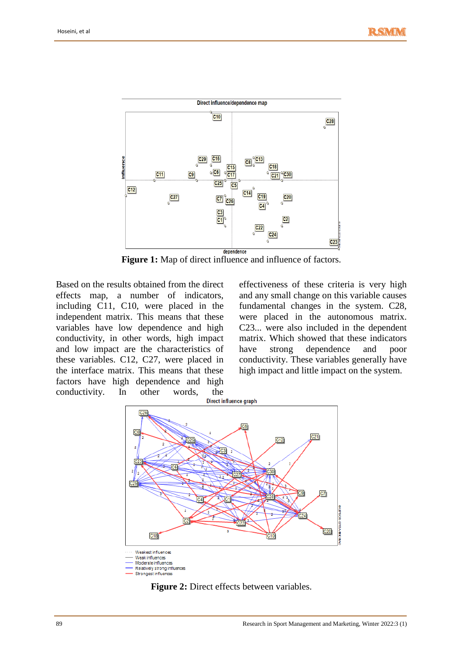

**Figure 1:** Map of direct influence and influence of factors.

Based on the results obtained from the direct effects map, a number of indicators, including C11, C10, were placed in the independent matrix. This means that these variables have low dependence and high conductivity, in other words, high impact and low impact are the characteristics of these variables. C12, C27, were placed in the interface matrix. This means that these factors have high dependence and high conductivity. In other words, the Direct influence graph

effectiveness of these criteria is very high and any small change on this variable causes fundamental changes in the system. C28, were placed in the autonomous matrix. C23... were also included in the dependent matrix. Which showed that these indicators have strong dependence and poor conductivity. These variables generally have high impact and little impact on the system.



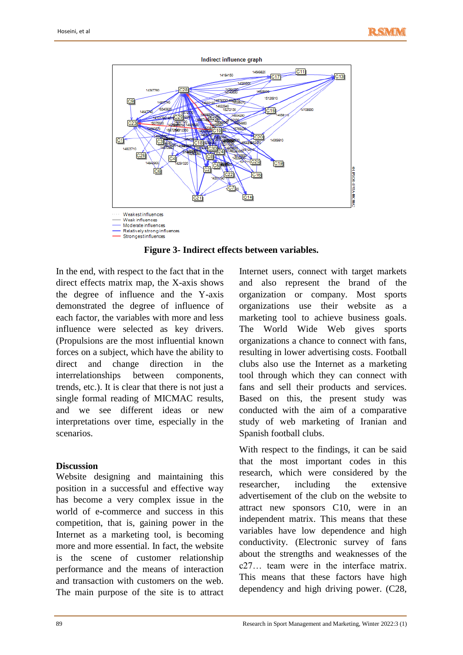

**Figure 3- Indirect effects between variables.**

In the end, with respect to the fact that in the direct effects matrix map, the X-axis shows the degree of influence and the Y-axis demonstrated the degree of influence of each factor, the variables with more and less influence were selected as key drivers. (Propulsions are the most influential known forces on a subject, which have the ability to direct and change direction in the interrelationships between components, trends, etc.). It is clear that there is not just a single formal reading of MICMAC results, and we see different ideas or new interpretations over time, especially in the scenarios.

#### **Discussion**

Website designing and maintaining this position in a successful and effective way has become a very complex issue in the world of e-commerce and success in this competition, that is, gaining power in the Internet as a marketing tool, is becoming more and more essential. In fact, the website is the scene of customer relationship performance and the means of interaction and transaction with customers on the web. The main purpose of the site is to attract Internet users, connect with target markets and also represent the brand of the organization or company. Most sports organizations use their website as a marketing tool to achieve business goals. The World Wide Web gives sports organizations a chance to connect with fans, resulting in lower advertising costs. Football clubs also use the Internet as a marketing tool through which they can connect with fans and sell their products and services. Based on this, the present study was conducted with the aim of a comparative study of web marketing of Iranian and Spanish football clubs.

With respect to the findings, it can be said that the most important codes in this research, which were considered by the researcher, including the extensive advertisement of the club on the website to attract new sponsors C10, were in an independent matrix. This means that these variables have low dependence and high conductivity. (Electronic survey of fans about the strengths and weaknesses of the c27… team were in the interface matrix. This means that these factors have high dependency and high driving power. (C28,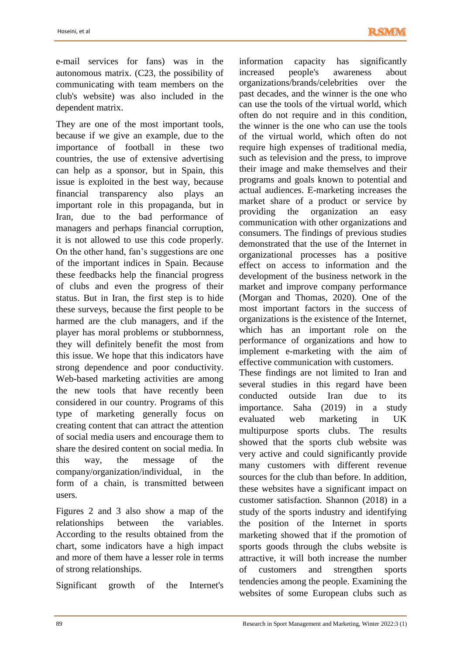e-mail services for fans) was in the autonomous matrix. (C23, the possibility of communicating with team members on the club's website) was also included in the dependent matrix.

They are one of the most important tools, because if we give an example, due to the importance of football in these two countries, the use of extensive advertising can help as a sponsor, but in Spain, this issue is exploited in the best way, because financial transparency also plays an important role in this propaganda, but in Iran, due to the bad performance of managers and perhaps financial corruption, it is not allowed to use this code properly. On the other hand, fan's suggestions are one of the important indices in Spain. Because these feedbacks help the financial progress of clubs and even the progress of their status. But in Iran, the first step is to hide these surveys, because the first people to be harmed are the club managers, and if the player has moral problems or stubbornness, they will definitely benefit the most from this issue. We hope that this indicators have strong dependence and poor conductivity. Web-based marketing activities are among the new tools that have recently been considered in our country. Programs of this type of marketing generally focus on creating content that can attract the attention of social media users and encourage them to share the desired content on social media. In this way, the message of the company/organization/individual, in the form of a chain, is transmitted between users.

Figures 2 and 3 also show a map of the relationships between the variables. According to the results obtained from the chart, some indicators have a high impact and more of them have a lesser role in terms of strong relationships.

Significant growth of the Internet's

information capacity has significantly increased people's awareness about organizations/brands/celebrities over the past decades, and the winner is the one who can use the tools of the virtual world, which often do not require and in this condition, the winner is the one who can use the tools of the virtual world, which often do not require high expenses of traditional media, such as television and the press, to improve their image and make themselves and their programs and goals known to potential and actual audiences. E-marketing increases the market share of a product or service by providing the organization an easy communication with other organizations and consumers. The findings of previous studies demonstrated that the use of the Internet in organizational processes has a positive effect on access to information and the development of the business network in the market and improve company performance (Morgan and Thomas, 2020). One of the most important factors in the success of organizations is the existence of the Internet, which has an important role on the performance of organizations and how to implement e-marketing with the aim of effective communication with customers.

These findings are not limited to Iran and several studies in this regard have been conducted outside Iran due to its importance. Saha (2019) in a study evaluated web marketing in UK multipurpose sports clubs. The results showed that the sports club website was very active and could significantly provide many customers with different revenue sources for the club than before. In addition, these websites have a significant impact on customer satisfaction. Shannon (2018) in a study of the sports industry and identifying the position of the Internet in sports marketing showed that if the promotion of sports goods through the clubs website is attractive, it will both increase the number of customers and strengthen sports tendencies among the people. Examining the websites of some European clubs such as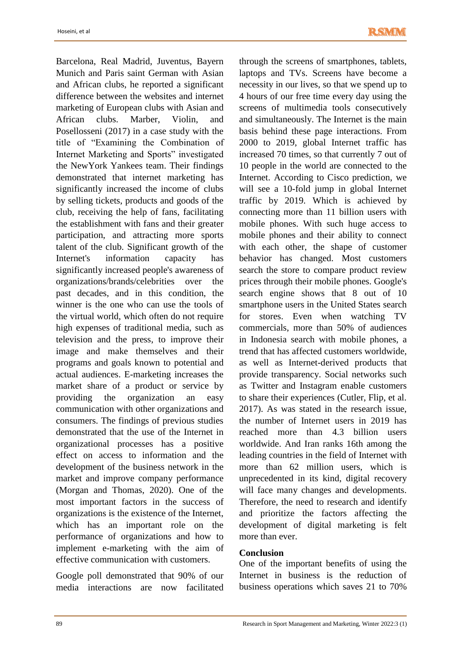Barcelona, Real Madrid, Juventus, Bayern Munich and Paris saint German with Asian and African clubs, he reported a significant difference between the websites and internet marketing of European clubs with Asian and African clubs. Marber, Violin, and Posellosseni (2017) in a case study with the title of "Examining the Combination of Internet Marketing and Sports" investigated the NewYork Yankees team. Their findings demonstrated that internet marketing has significantly increased the income of clubs by selling tickets, products and goods of the club, receiving the help of fans, facilitating the establishment with fans and their greater participation, and attracting more sports talent of the club. Significant growth of the Internet's information capacity has significantly increased people's awareness of organizations/brands/celebrities over the past decades, and in this condition, the winner is the one who can use the tools of the virtual world, which often do not require high expenses of traditional media, such as television and the press, to improve their image and make themselves and their programs and goals known to potential and actual audiences. E-marketing increases the market share of a product or service by providing the organization an easy communication with other organizations and consumers. The findings of previous studies demonstrated that the use of the Internet in organizational processes has a positive effect on access to information and the development of the business network in the market and improve company performance (Morgan and Thomas, 2020). One of the most important factors in the success of organizations is the existence of the Internet, which has an important role on the performance of organizations and how to implement e-marketing with the aim of effective communication with customers.

Google poll demonstrated that 90% of our media interactions are now facilitated

through the screens of smartphones, tablets, laptops and TVs. Screens have become a necessity in our lives, so that we spend up to 4 hours of our free time every day using the screens of multimedia tools consecutively and simultaneously. The Internet is the main basis behind these page interactions. From 2000 to 2019, global Internet traffic has increased 70 times, so that currently 7 out of 10 people in the world are connected to the Internet. According to Cisco prediction, we will see a 10-fold jump in global Internet traffic by 2019. Which is achieved by connecting more than 11 billion users with mobile phones. With such huge access to mobile phones and their ability to connect with each other, the shape of customer behavior has changed. Most customers search the store to compare product review prices through their mobile phones. Google's search engine shows that 8 out of 10 smartphone users in the United States search for stores. Even when watching TV commercials, more than 50% of audiences in Indonesia search with mobile phones, a trend that has affected customers worldwide, as well as Internet-derived products that provide transparency. Social networks such as Twitter and Instagram enable customers to share their experiences (Cutler, Flip, et al. 2017). As was stated in the research issue, the number of Internet users in 2019 has reached more than 4.3 billion users worldwide. And Iran ranks 16th among the leading countries in the field of Internet with more than 62 million users, which is unprecedented in its kind, digital recovery will face many changes and developments. Therefore, the need to research and identify and prioritize the factors affecting the development of digital marketing is felt more than ever.

### **Conclusion**

One of the important benefits of using the Internet in business is the reduction of business operations which saves 21 to 70%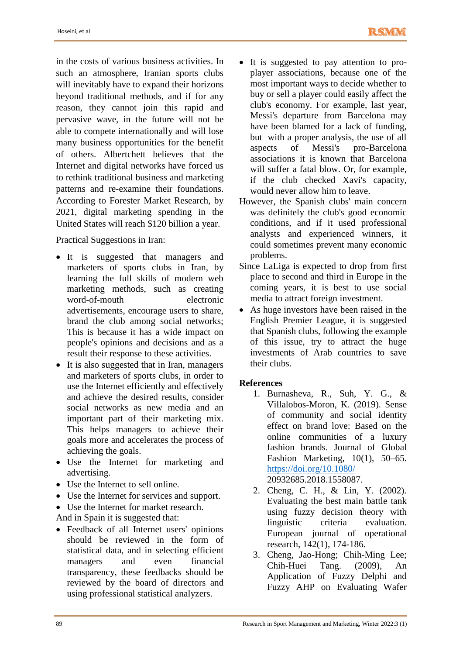in the costs of various business activities. In such an atmosphere, Iranian sports clubs will inevitably have to expand their horizons beyond traditional methods, and if for any reason, they cannot join this rapid and pervasive wave, in the future will not be able to compete internationally and will lose many business opportunities for the benefit of others. Albertchett believes that the Internet and digital networks have forced us to rethink traditional business and marketing patterns and re-examine their foundations. According to Forester Market Research, by 2021, digital marketing spending in the United States will reach \$120 billion a year.

Practical Suggestions in Iran:

- It is suggested that managers and marketers of sports clubs in Iran, by learning the full skills of modern web marketing methods, such as creating word-of-mouth electronic advertisements, encourage users to share, brand the club among social networks; This is because it has a wide impact on people's opinions and decisions and as a result their response to these activities.
- It is also suggested that in Iran, managers and marketers of sports clubs, in order to use the Internet efficiently and effectively and achieve the desired results, consider social networks as new media and an important part of their marketing mix. This helps managers to achieve their goals more and accelerates the process of achieving the goals.
- Use the Internet for marketing and advertising.
- Use the Internet to sell online.
- Use the Internet for services and support.
- Use the Internet for market research.
- And in Spain it is suggested that:
- Feedback of all Internet users' opinions should be reviewed in the form of statistical data, and in selecting efficient managers and even financial transparency, these feedbacks should be reviewed by the board of directors and using professional statistical analyzers.
- It is suggested to pay attention to proplayer associations, because one of the most important ways to decide whether to buy or sell a player could easily affect the club's economy. For example, last year, Messi's departure from Barcelona may have been blamed for a lack of funding, but with a proper analysis, the use of all aspects of Messi's pro-Barcelona associations it is known that Barcelona will suffer a fatal blow. Or, for example, if the club checked Xavi's capacity, would never allow him to leave.
- However, the Spanish clubs' main concern was definitely the club's good economic conditions, and if it used professional analysts and experienced winners, it could sometimes prevent many economic problems.
- Since LaLiga is expected to drop from first place to second and third in Europe in the coming years, it is best to use social media to attract foreign investment.
- As huge investors have been raised in the English Premier League, it is suggested that Spanish clubs, following the example of this issue, try to attract the huge investments of Arab countries to save their clubs.

### **References**

- 1. Burnasheva, R., Suh, Y. G., & Villalobos-Moron, K. (2019). Sense of community and social identity effect on brand love: Based on the online communities of a luxury fashion brands. Journal of Global Fashion Marketing, 10(1), 50–65. <https://doi.org/10.1080/> 20932685.2018.1558087.
- 2. Cheng, C. H., & Lin, Y. (2002). Evaluating the best main battle tank using fuzzy decision theory with linguistic criteria evaluation. European journal of operational research, 142(1), 174-186.
- 3. Cheng, Jao-Hong; Chih-Ming Lee; Chih-Huei Tang. (2009), An Application of Fuzzy Delphi and Fuzzy AHP on Evaluating Wafer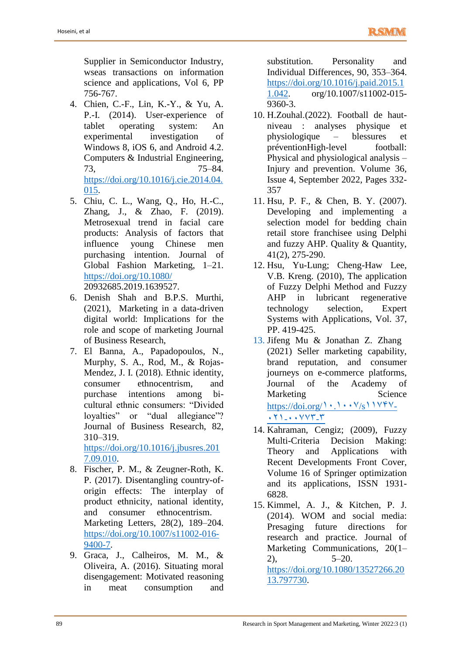Supplier in Semiconductor Industry, wseas transactions on information science and applications, Vol 6, PP 756-767.

- 4. Chien, C.-F., Lin, K.-Y., & Yu, A. P.-I. (2014). User-experience of tablet operating system: An experimental investigation of Windows 8, iOS 6, and Android 4.2. Computers & Industrial Engineering, 73, 75–84. [https://doi.org/10.1016/j.cie.2014.04.](https://doi.org/10.1016/j.cie.2014.04.015) [015.](https://doi.org/10.1016/j.cie.2014.04.015)
- 5. Chiu, C. L., Wang, Q., Ho, H.-C., Zhang, J., & Zhao, F. (2019). Metrosexual trend in facial care products: Analysis of factors that influence young Chinese men purchasing intention. Journal of Global Fashion Marketing, 1–21. <https://doi.org/10.1080/> 20932685.2019.1639527.
- 6. Denish Shah and B.P.S. Murthi, (2021), Marketing in a data-driven digital world: Implications for the role and scope of marketing Journal of Business Research,
- 7. El Banna, A., Papadopoulos, N., Murphy, S. A., Rod, M., & Rojas-Mendez, J. I. (2018). Ethnic identity, consumer ethnocentrism, and purchase intentions among bicultural ethnic consumers: "Divided loyalties" or "dual allegiance"? Journal of Business Research, 82, 310–319.

[https://doi.org/10.1016/j.jbusres.201](https://doi.org/10.1016/j.jbusres.2017.09.010) [7.09.010.](https://doi.org/10.1016/j.jbusres.2017.09.010)

- 8. Fischer, P. M., & Zeugner-Roth, K. P. (2017). Disentangling country-oforigin effects: The interplay of product ethnicity, national identity, and consumer ethnocentrism. Marketing Letters, 28(2), 189–204. [https://doi.org/10.1007/s11002-016-](https://doi.org/10.1007/s11002-016-9400-7) [9400-7.](https://doi.org/10.1007/s11002-016-9400-7)
- 9. Graca, J., Calheiros, M. M., & Oliveira, A. (2016). Situating moral disengagement: Motivated reasoning in meat consumption and

substitution. Personality and Individual Differences, 90, 353–364. [https://doi.org/10.1016/j.paid.2015.1](https://doi.org/10.1016/j.paid.2015.11.042) [1.042.](https://doi.org/10.1016/j.paid.2015.11.042) org/10.1007/s11002-015- 9360-3.

- 10. H.Zouhal.(2022). Football de hautniveau : analyses physique et physiologique – blessures et préventionHigh-level football: Physical and physiological analysis – Injury and prevention. Volume 36, Issue 4, September 2022, Pages 332- 357
- 11. Hsu, P. F., & Chen, B. Y. (2007). Developing and implementing a selection model for bedding chain retail store franchisee using Delphi and fuzzy AHP. Quality & Quantity, 41(2), 275-290.
- 12. Hsu, Yu-Lung; Cheng-Haw Lee, V.B. Kreng. (2010), The application of Fuzzy Delphi Method and Fuzzy AHP in lubricant regenerative technology selection, Expert Systems with Applications, Vol. 37, PP. 419-425.
- 13. Jifeng Mu & Jonathan Z. Zhang (2021) Seller marketing capability, brand reputation, and consumer journeys on e-commerce platforms, Journal of the Academy of Marketing Science [https://doi.org/](https://doi.org/10.1007/s11747-021-00773-3) $\cdot$ . $\cdot$ . $\cdot$  $\cdot$  $\cdot$ y/s $\cdot$ 120-[11110](https://doi.org/10.1007/s11747-021-00773-3)-0
- 14. Kahraman, Cengiz; (2009), Fuzzy Multi-Criteria Decision Making: Theory and Applications with Recent Developments Front Cover, Volume 16 of Springer optimization and its applications, ISSN 1931- 6828.
- 15. Kimmel, A. J., & Kitchen, P. J. (2014). WOM and social media: Presaging future directions for research and practice. Journal of Marketing Communications, 20(1–  $2)$ ,  $5-20$ [.](https://doi.org/10.1080/13527266.2013.797730)

[https://doi.org/10.1080/13527266.20](https://doi.org/10.1080/13527266.2013.797730) [13.797730.](https://doi.org/10.1080/13527266.2013.797730)